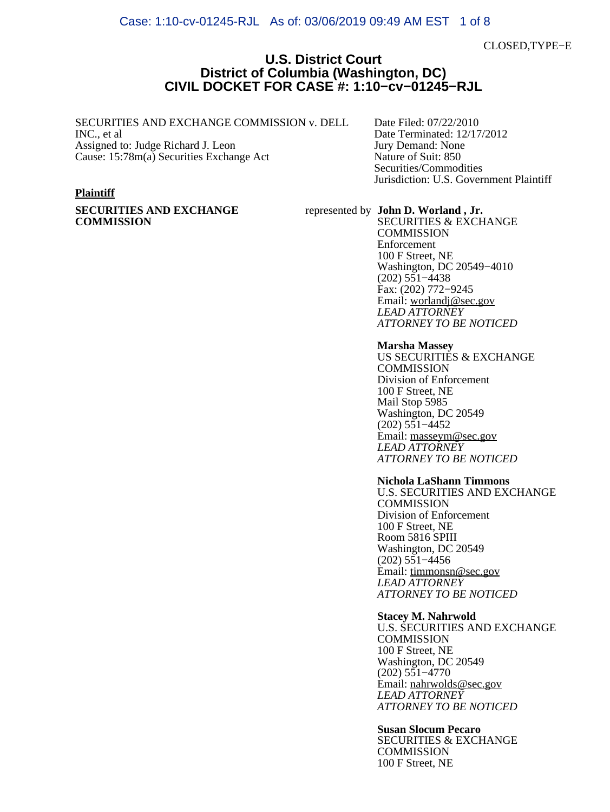### Case: 1:10-cv-01245-RJL As of: 03/06/2019 09:49 AM EST 1 of 8

CLOSED,TYPE−E

### **U.S. District Court District of Columbia (Washington, DC) CIVIL DOCKET FOR CASE #: 1:10−cv−01245−RJL**

### SECURITIES AND EXCHANGE COMMISSION v. DELL INC., et al

Assigned to: Judge Richard J. Leon Cause: 15:78m(a) Securities Exchange Act

### **Plaintiff**

**SECURITIES AND EXCHANGE COMMISSION**

Date Filed: 07/22/2010 Date Terminated: 12/17/2012 Jury Demand: None Nature of Suit: 850 Securities/Commodities Jurisdiction: U.S. Government Plaintiff

## represented by **John D. Worland , Jr.**

SECURITIES & EXCHANGE **COMMISSION** Enforcement 100 F Street, NE Washington, DC 20549−4010 (202) 551−4438 Fax: (202) 772−9245 Email: [worlandj@sec.gov](mailto:worlandj@sec.gov) *LEAD ATTORNEY ATTORNEY TO BE NOTICED*

#### **Marsha Massey**

US SECURITIES & EXCHANGE **COMMISSION** Division of Enforcement 100 F Street, NE Mail Stop 5985 Washington, DC 20549 (202) 551−4452 Email: [masseym@sec.gov](mailto:masseym@sec.gov) *LEAD ATTORNEY ATTORNEY TO BE NOTICED*

#### **Nichola LaShann Timmons**

U.S. SECURITIES AND EXCHANGE **COMMISSION** Division of Enforcement 100 F Street, NE Room 5816 SPIII Washington, DC 20549 (202) 551−4456 Email: [timmonsn@sec.gov](mailto:timmonsn@sec.gov) *LEAD ATTORNEY ATTORNEY TO BE NOTICED*

### **Stacey M. Nahrwold**

U.S. SECURITIES AND EXCHANGE **COMMISSION** 100 F Street, NE Washington, DC 20549 (202) 551−4770 Email: [nahrwolds@sec.gov](mailto:nahrwolds@sec.gov) *LEAD ATTORNEY ATTORNEY TO BE NOTICED*

**Susan Slocum Pecaro** SECURITIES & EXCHANGE **COMMISSION** 100 F Street, NE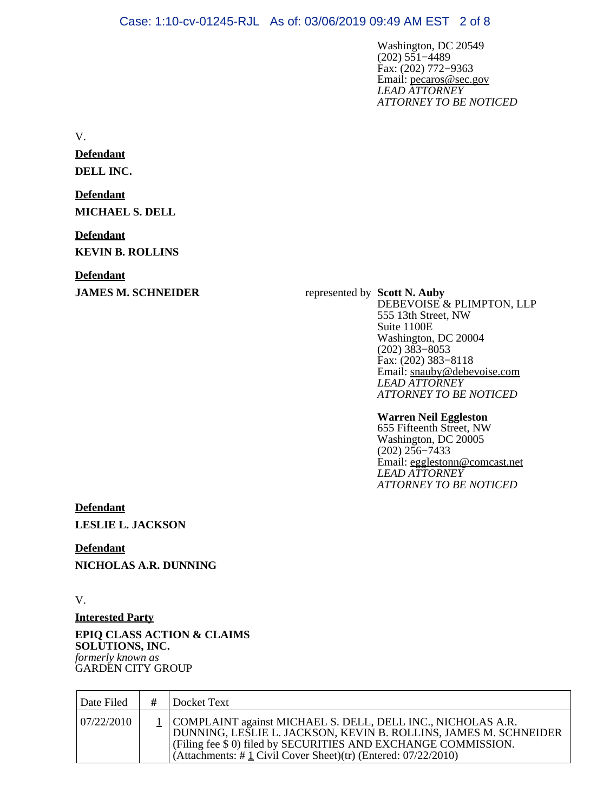Washington, DC 20549 (202) 551−4489 Fax: (202) 772−9363 Email: [pecaros@sec.gov](mailto:pecaros@sec.gov) *LEAD ATTORNEY ATTORNEY TO BE NOTICED*

V.

**Defendant DELL INC.**

**Defendant MICHAEL S. DELL**

**Defendant KEVIN B. ROLLINS**

**Defendant**

**JAMES M. SCHNEIDER** represented by **Scott N. Auby** DEBEVOISE & PLIMPTON, LLP 555 13th Street, NW Suite 1100E Washington, DC 20004 (202) 383−8053 Fax: (202) 383−8118 Email: [snauby@debevoise.com](mailto:snauby@debevoise.com) *LEAD ATTORNEY ATTORNEY TO BE NOTICED*

### **Warren Neil Eggleston**

655 Fifteenth Street, NW Washington, DC 20005 (202) 256−7433 Email: [egglestonn@comcast.net](mailto:egglestonn@comcast.net) *LEAD ATTORNEY ATTORNEY TO BE NOTICED*

**Defendant LESLIE L. JACKSON**

**Defendant NICHOLAS A.R. DUNNING**

V.

**Interested Party**

**EPIQ CLASS ACTION & CLAIMS SOLUTIONS, INC.** *formerly known as* GARDEN CITY GROUP

| Date Filed | Docket Text                                                                                                                                                                                                                                                                   |
|------------|-------------------------------------------------------------------------------------------------------------------------------------------------------------------------------------------------------------------------------------------------------------------------------|
| 07/22/2010 | 1   COMPLAINT against MICHAEL S. DELL, DELL INC., NICHOLAS A.R.<br>DUNNING, LEŠLIE L. JACKSON, KEVIN B. ROLLINS, JAMES M. SCHNEIDER<br>(Filing fee \$ 0) filed by SECURITIES AND EXCHANGE COMMISSION.<br>(Attachments: # $\perp$ Civil Cover Sheet)(tr) (Entered: 07/22/2010) |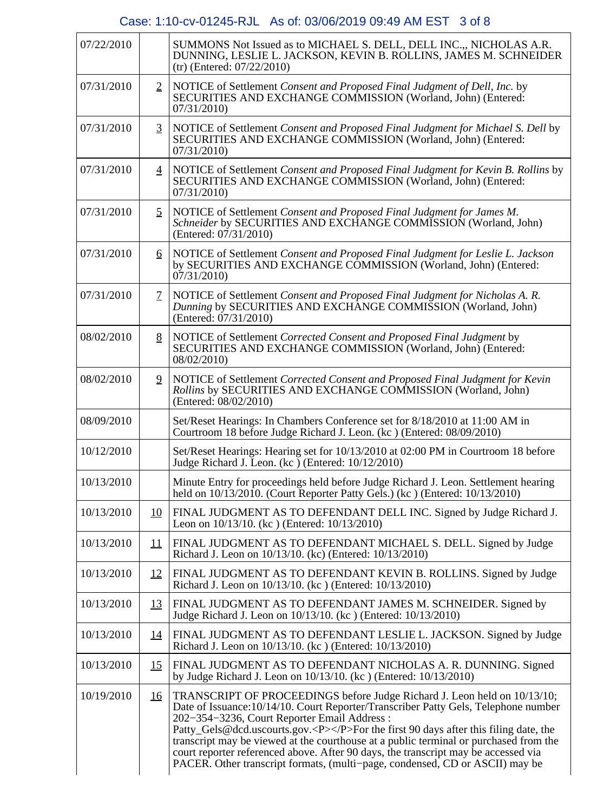# Case: 1:10-cv-01245-RJL As of: 03/06/2019 09:49 AM EST 3 of 8

| 07/22/2010 |                  | SUMMONS Not Issued as to MICHAEL S. DELL, DELL INC., NICHOLAS A.R.<br>DUNNING, LESLIE L. JACKSON, KEVIN B. ROLLINS, JAMES M. SCHNEIDER<br>$(tr)$ (Entered: 07/22/2010)                                                                                                                                                                                                                                                                                                                                                                                                  |
|------------|------------------|-------------------------------------------------------------------------------------------------------------------------------------------------------------------------------------------------------------------------------------------------------------------------------------------------------------------------------------------------------------------------------------------------------------------------------------------------------------------------------------------------------------------------------------------------------------------------|
| 07/31/2010 | $\overline{2}$   | NOTICE of Settlement Consent and Proposed Final Judgment of Dell, Inc. by<br>SECURITIES AND EXCHANGE COMMISSION (Worland, John) (Entered:<br>07/31/2010                                                                                                                                                                                                                                                                                                                                                                                                                 |
| 07/31/2010 | $\overline{3}$   | NOTICE of Settlement Consent and Proposed Final Judgment for Michael S. Dell by<br>SECURITIES AND EXCHANGE COMMISSION (Worland, John) (Entered:<br>07/31/2010                                                                                                                                                                                                                                                                                                                                                                                                           |
| 07/31/2010 | $\overline{4}$   | NOTICE of Settlement Consent and Proposed Final Judgment for Kevin B. Rollins by<br>SECURITIES AND EXCHANGE COMMISSION (Worland, John) (Entered:<br>07/31/2010)                                                                                                                                                                                                                                                                                                                                                                                                         |
| 07/31/2010 | $\overline{2}$   | NOTICE of Settlement Consent and Proposed Final Judgment for James M.<br>Schneider by SECURITIES AND EXCHANGE COMMISSION (Worland, John)<br>(Entered: 07/31/2010)                                                                                                                                                                                                                                                                                                                                                                                                       |
| 07/31/2010 | $6 \overline{6}$ | NOTICE of Settlement Consent and Proposed Final Judgment for Leslie L. Jackson<br>by SECURITIES AND EXCHANGE COMMISSION (Worland, John) (Entered:<br>07/31/2010                                                                                                                                                                                                                                                                                                                                                                                                         |
| 07/31/2010 | $\mathcal{I}$    | NOTICE of Settlement Consent and Proposed Final Judgment for Nicholas A. R.<br>Dunning by SECURITIES AND EXCHANGE COMMISSION (Worland, John)<br>(Entered: 07/31/2010)                                                                                                                                                                                                                                                                                                                                                                                                   |
| 08/02/2010 | 8                | NOTICE of Settlement Corrected Consent and Proposed Final Judgment by<br>SECURITIES AND EXCHANGE COMMISSION (Worland, John) (Entered:<br>08/02/2010)                                                                                                                                                                                                                                                                                                                                                                                                                    |
| 08/02/2010 | $\overline{2}$   | NOTICE of Settlement Corrected Consent and Proposed Final Judgment for Kevin<br>Rollins by SECURITIES AND EXCHANGE COMMISSION (Worland, John)<br>(Entered: 08/02/2010)                                                                                                                                                                                                                                                                                                                                                                                                  |
| 08/09/2010 |                  | Set/Reset Hearings: In Chambers Conference set for 8/18/2010 at 11:00 AM in<br>Courtroom 18 before Judge Richard J. Leon. (kc) (Entered: 08/09/2010)                                                                                                                                                                                                                                                                                                                                                                                                                    |
| 10/12/2010 |                  | Set/Reset Hearings: Hearing set for 10/13/2010 at 02:00 PM in Courtroom 18 before<br>Judge Richard J. Leon. (kc) (Entered: $10/12/2010$ )                                                                                                                                                                                                                                                                                                                                                                                                                               |
| 10/13/2010 |                  | Minute Entry for proceedings held before Judge Richard J. Leon. Settlement hearing<br>held on 10/13/2010. (Court Reporter Patty Gels.) (kc) (Entered: 10/13/2010)                                                                                                                                                                                                                                                                                                                                                                                                       |
| 10/13/2010 | 10               | FINAL JUDGMENT AS TO DEFENDANT DELL INC. Signed by Judge Richard J.<br>Leon on 10/13/10. (kc) (Entered: 10/13/2010)                                                                                                                                                                                                                                                                                                                                                                                                                                                     |
| 10/13/2010 | 11               | FINAL JUDGMENT AS TO DEFENDANT MICHAEL S. DELL. Signed by Judge<br>Richard J. Leon on 10/13/10. (kc) (Entered: 10/13/2010)                                                                                                                                                                                                                                                                                                                                                                                                                                              |
| 10/13/2010 | 12               | FINAL JUDGMENT AS TO DEFENDANT KEVIN B. ROLLINS. Signed by Judge<br>Richard J. Leon on 10/13/10. (kc) (Entered: 10/13/2010)                                                                                                                                                                                                                                                                                                                                                                                                                                             |
| 10/13/2010 | <u>13</u>        | FINAL JUDGMENT AS TO DEFENDANT JAMES M. SCHNEIDER. Signed by<br>Judge Richard J. Leon on 10/13/10. (kc) (Entered: 10/13/2010)                                                                                                                                                                                                                                                                                                                                                                                                                                           |
| 10/13/2010 | <u>14</u>        | FINAL JUDGMENT AS TO DEFENDANT LESLIE L. JACKSON. Signed by Judge<br>Richard J. Leon on 10/13/10. (kc) (Entered: 10/13/2010)                                                                                                                                                                                                                                                                                                                                                                                                                                            |
| 10/13/2010 | <u>15</u>        | FINAL JUDGMENT AS TO DEFENDANT NICHOLAS A. R. DUNNING. Signed<br>by Judge Richard J. Leon on 10/13/10. (kc) (Entered: 10/13/2010)                                                                                                                                                                                                                                                                                                                                                                                                                                       |
| 10/19/2010 | <u>16</u>        | TRANSCRIPT OF PROCEEDINGS before Judge Richard J. Leon held on 10/13/10;<br>Date of Issuance: 10/14/10. Court Reporter/Transcriber Patty Gels, Telephone number<br>202-354-3236, Court Reporter Email Address:<br>Patty_Gels@dcd.uscourts.gov. <p></p> For the first 90 days after this filing date, the<br>transcript may be viewed at the courthouse at a public terminal or purchased from the<br>court reporter referenced above. After 90 days, the transcript may be accessed via<br>PACER. Other transcript formats, (multi-page, condensed, CD or ASCII) may be |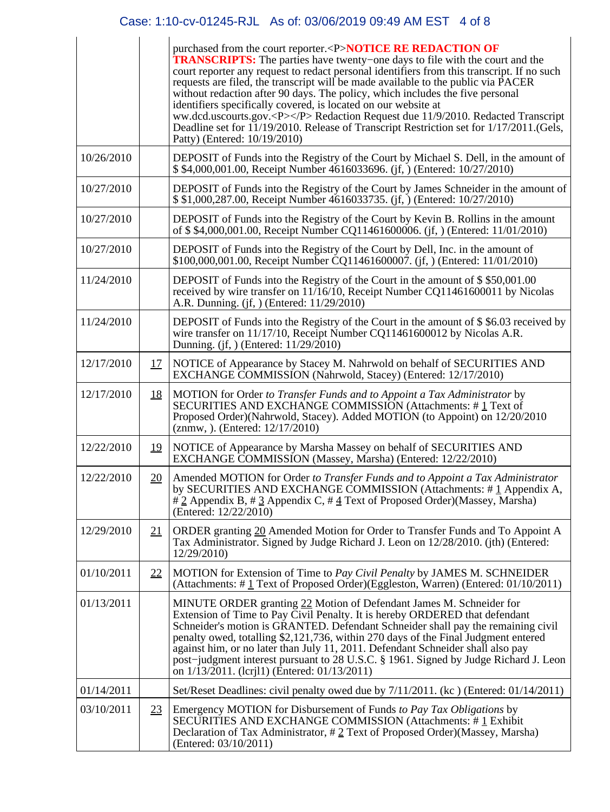## Case: 1:10-cv-01245-RJL As of: 03/06/2019 09:49 AM EST 4 of 8

|            |           | purchased from the court reporter. <p>NOTICE RE REDACTION OF<br/><b>TRANSCRIPTS:</b> The parties have twenty–one days to file with the court and the<br/>court reporter any request to redact personal identifiers from this transcript. If no such<br/>requests are filed, the transcript will be made available to the public via PACER<br/>without redaction after 90 days. The policy, which includes the five personal<br/>identifiers specifically covered, is located on our website at<br/>ww.dcd.uscourts.gov.<p></p> Redaction Request due 11/9/2010. Redacted Transcript<br/>Deadline set for 11/19/2010. Release of Transcript Restriction set for 1/17/2011. (Gels,<br/>Patty) (Entered: 10/19/2010)</p> |
|------------|-----------|-----------------------------------------------------------------------------------------------------------------------------------------------------------------------------------------------------------------------------------------------------------------------------------------------------------------------------------------------------------------------------------------------------------------------------------------------------------------------------------------------------------------------------------------------------------------------------------------------------------------------------------------------------------------------------------------------------------------------|
| 10/26/2010 |           | DEPOSIT of Funds into the Registry of the Court by Michael S. Dell, in the amount of<br>\$ \$4,000,001.00, Receipt Number 4616033696. (if, ) (Entered: 10/27/2010)                                                                                                                                                                                                                                                                                                                                                                                                                                                                                                                                                    |
| 10/27/2010 |           | DEPOSIT of Funds into the Registry of the Court by James Schneider in the amount of<br>\$ \$1,000,287.00, Receipt Number 4616033735. (jf, ) (Entered: 10/27/2010)                                                                                                                                                                                                                                                                                                                                                                                                                                                                                                                                                     |
| 10/27/2010 |           | DEPOSIT of Funds into the Registry of the Court by Kevin B. Rollins in the amount<br>of \$\$4,000,001.00, Receipt Number CQ11461600006. (if, ) (Entered: 11/01/2010)                                                                                                                                                                                                                                                                                                                                                                                                                                                                                                                                                  |
| 10/27/2010 |           | DEPOSIT of Funds into the Registry of the Court by Dell, Inc. in the amount of<br>\$100,000,001.00, Receipt Number CQ11461600007. (jf, ) (Entered: 11/01/2010)                                                                                                                                                                                                                                                                                                                                                                                                                                                                                                                                                        |
| 11/24/2010 |           | DEPOSIT of Funds into the Registry of the Court in the amount of \$\$50,001.00<br>received by wire transfer on 11/16/10, Receipt Number CQ11461600011 by Nicolas<br>A.R. Dunning. (if, ) (Entered: 11/29/2010)                                                                                                                                                                                                                                                                                                                                                                                                                                                                                                        |
| 11/24/2010 |           | DEPOSIT of Funds into the Registry of the Court in the amount of \$\$6.03 received by<br>wire transfer on 11/17/10, Receipt Number CQ11461600012 by Nicolas A.R.<br>Dunning. (jf, ) (Entered: 11/29/2010)                                                                                                                                                                                                                                                                                                                                                                                                                                                                                                             |
| 12/17/2010 | <u>17</u> | NOTICE of Appearance by Stacey M. Nahrwold on behalf of SECURITIES AND<br>EXCHANGE COMMISSION (Nahrwold, Stacey) (Entered: 12/17/2010)                                                                                                                                                                                                                                                                                                                                                                                                                                                                                                                                                                                |
| 12/17/2010 | <u>18</u> | MOTION for Order to Transfer Funds and to Appoint a Tax Administrator by<br>SECURITIES AND EXCHANGE COMMISSION (Attachments: #1 Text of<br>Proposed Order)(Nahrwold, Stacey). Added MOTION (to Appoint) on 12/20/2010<br>(znmw, ). (Entered: 12/17/2010)                                                                                                                                                                                                                                                                                                                                                                                                                                                              |
| 12/22/2010 | <u>19</u> | NOTICE of Appearance by Marsha Massey on behalf of SECURITIES AND<br>EXCHANGE COMMISSION (Massey, Marsha) (Entered: 12/22/2010)                                                                                                                                                                                                                                                                                                                                                                                                                                                                                                                                                                                       |
| 12/22/2010 | 20        | Amended MOTION for Order to Transfer Funds and to Appoint a Tax Administrator<br>by SECURITIES AND EXCHANGE COMMISSION (Attachments: #1 Appendix A,<br># 2 Appendix B, # 3 Appendix C, # 4 Text of Proposed Order)(Massey, Marsha)<br>(Entered: 12/22/2010)                                                                                                                                                                                                                                                                                                                                                                                                                                                           |
| 12/29/2010 | 21        | ORDER granting 20 Amended Motion for Order to Transfer Funds and To Appoint A<br>Tax Administrator. Signed by Judge Richard J. Leon on 12/28/2010. (jth) (Entered:<br>12/29/2010)                                                                                                                                                                                                                                                                                                                                                                                                                                                                                                                                     |
| 01/10/2011 | 22        | MOTION for Extension of Time to Pay Civil Penalty by JAMES M. SCHNEIDER<br>(Attachments: #1 Text of Proposed Order)(Eggleston, Warren) (Entered: 01/10/2011)                                                                                                                                                                                                                                                                                                                                                                                                                                                                                                                                                          |
| 01/13/2011 |           | MINUTE ORDER granting 22 Motion of Defendant James M. Schneider for<br>Extension of Time to Pay Civil Penalty. It is hereby ORDERED that defendant<br>Schneider's motion is GRANTED. Defendant Schneider shall pay the remaining civil<br>penalty owed, totalling \$2,121,736, within 270 days of the Final Judgment entered<br>against him, or no later than July 11, 2011. Defendant Schneider shall also pay<br>post-judgment interest pursuant to 28 U.S.C. § 1961. Signed by Judge Richard J. Leon<br>on $1/13/2011$ . (lcril1) (Entered: 01/13/2011)                                                                                                                                                            |
| 01/14/2011 |           | Set/Reset Deadlines: civil penalty owed due by 7/11/2011. (kc) (Entered: 01/14/2011)                                                                                                                                                                                                                                                                                                                                                                                                                                                                                                                                                                                                                                  |
| 03/10/2011 | 23        | Emergency MOTION for Disbursement of Funds to Pay Tax Obligations by<br>SECURITIES AND EXCHANGE COMMISSION (Attachments: #1 Exhibit<br>Declaration of Tax Administrator, $\# 2$ Text of Proposed Order)(Massey, Marsha)<br>(Entered: 03/10/2011)                                                                                                                                                                                                                                                                                                                                                                                                                                                                      |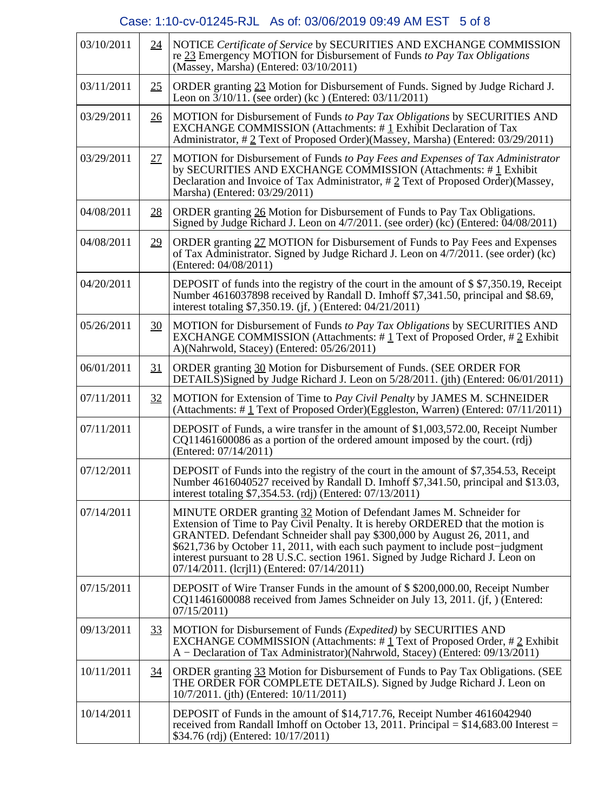# Case: 1:10-cv-01245-RJL As of: 03/06/2019 09:49 AM EST 5 of 8

| 03/10/2011 | 24 | NOTICE Certificate of Service by SECURITIES AND EXCHANGE COMMISSION<br>re 23 Emergency MOTION for Disbursement of Funds to Pay Tax Obligations<br>$(Massey, Marsha)$ (Entered: $03/10/2011$ )                                                                                                                                                                                                                                                               |
|------------|----|-------------------------------------------------------------------------------------------------------------------------------------------------------------------------------------------------------------------------------------------------------------------------------------------------------------------------------------------------------------------------------------------------------------------------------------------------------------|
| 03/11/2011 | 25 | ORDER granting 23 Motion for Disbursement of Funds. Signed by Judge Richard J.<br>Leon on $3/10/11$ . (see order) (kc) (Entered: 03/11/2011)                                                                                                                                                                                                                                                                                                                |
| 03/29/2011 | 26 | MOTION for Disbursement of Funds to Pay Tax Obligations by SECURITIES AND<br>EXCHANGE COMMISSION (Attachments: #1 Exhibit Declaration of Tax<br>Administrator, #2 Text of Proposed Order)(Massey, Marsha) (Entered: 03/29/2011)                                                                                                                                                                                                                             |
| 03/29/2011 | 27 | MOTION for Disbursement of Funds to Pay Fees and Expenses of Tax Administrator<br>by SECURITIES AND EXCHANGE COMMISSION (Attachments: #1 Exhibit<br>Declaration and Invoice of Tax Administrator, $\# 2$ Text of Proposed Order)(Massey,<br>Marsha) (Entered: 03/29/2011)                                                                                                                                                                                   |
| 04/08/2011 | 28 | ORDER granting 26 Motion for Disbursement of Funds to Pay Tax Obligations.<br>Signed by Judge Richard J. Leon on 4/7/2011. (see order) (kc) (Entered: 04/08/2011)                                                                                                                                                                                                                                                                                           |
| 04/08/2011 | 29 | ORDER granting 27 MOTION for Disbursement of Funds to Pay Fees and Expenses<br>of Tax Administrator. Signed by Judge Richard J. Leon on 4/7/2011. (see order) (kc)<br>(Entered: 04/08/2011)                                                                                                                                                                                                                                                                 |
| 04/20/2011 |    | DEPOSIT of funds into the registry of the court in the amount of \$ \$7,350.19, Receipt<br>Number 4616037898 received by Randall D. Imhoff \$7,341.50, principal and \$8.69,<br>interest totaling \$7,350.19. (jf, ) (Entered: 04/21/2011)                                                                                                                                                                                                                  |
| 05/26/2011 | 30 | MOTION for Disbursement of Funds to Pay Tax Obligations by SECURITIES AND<br>EXCHANGE COMMISSION (Attachments: $\#$ 1 Text of Proposed Order, $\#$ 2 Exhibit<br>A)(Nahrwold, Stacey) (Entered: 05/26/2011)                                                                                                                                                                                                                                                  |
| 06/01/2011 | 31 | ORDER granting 30 Motion for Disbursement of Funds. (SEE ORDER FOR<br>DETAILS)Signed by Judge Richard J. Leon on 5/28/2011. (jth) (Entered: 06/01/2011)                                                                                                                                                                                                                                                                                                     |
| 07/11/2011 | 32 | MOTION for Extension of Time to Pay Civil Penalty by JAMES M. SCHNEIDER<br>(Attachments: #1 Text of Proposed Order)(Eggleston, Warren) (Entered: 07/11/2011)                                                                                                                                                                                                                                                                                                |
| 07/11/2011 |    | DEPOSIT of Funds, a wire transfer in the amount of \$1,003,572.00, Receipt Number<br>$CQ11461600086$ as a portion of the ordered amount imposed by the court. (rdj)<br>(Entered: 07/14/2011)                                                                                                                                                                                                                                                                |
| 07/12/2011 |    | DEPOSIT of Funds into the registry of the court in the amount of \$7,354.53, Receipt<br>Number 4616040527 received by Randall D. Imhoff \$7,341.50, principal and \$13.03,<br>interest totaling \$7,354.53. (rdj) (Entered: 07/13/2011)                                                                                                                                                                                                                     |
| 07/14/2011 |    | MINUTE ORDER granting 32 Motion of Defendant James M. Schneider for<br>Extension of Time to Pay Civil Penalty. It is hereby ORDERED that the motion is<br>GRANTED. Defendant Schneider shall pay \$300,000 by August 26, 2011, and<br>\$621,736 by October 11, 2011, with each such payment to include post-judgment<br>interest pursuant to 28 U.S.C. section 1961. Signed by Judge Richard J. Leon on<br>$07/14/2011$ . (lcril1) (Entered: $07/14/2011$ ) |
| 07/15/2011 |    | DEPOSIT of Wire Transer Funds in the amount of \$\$200,000.00, Receipt Number<br>CQ11461600088 received from James Schneider on July 13, 2011. (jf, ) (Entered:<br>07/15/2011                                                                                                                                                                                                                                                                               |
| 09/13/2011 | 33 | MOTION for Disbursement of Funds (Expedited) by SECURITIES AND<br>EXCHANGE COMMISSION (Attachments: $\#$ 1 Text of Proposed Order, $\#$ 2 Exhibit<br>A – Declaration of Tax Administrator)(Nahrwold, Stacey) (Entered: 09/13/2011)                                                                                                                                                                                                                          |
| 10/11/2011 | 34 | ORDER granting 33 Motion for Disbursement of Funds to Pay Tax Obligations. (SEE<br>THE ORDER FOR COMPLETE DETAILS). Signed by Judge Richard J. Leon on<br>10/7/2011. (jth) (Entered: 10/11/2011)                                                                                                                                                                                                                                                            |
| 10/14/2011 |    | DEPOSIT of Funds in the amount of \$14,717.76, Receipt Number 4616042940<br>received from Randall Imhoff on October 13, 2011. Principal $= $14,683.00$ Interest $=$<br>\$34.76 (rdj) (Entered: 10/17/2011)                                                                                                                                                                                                                                                  |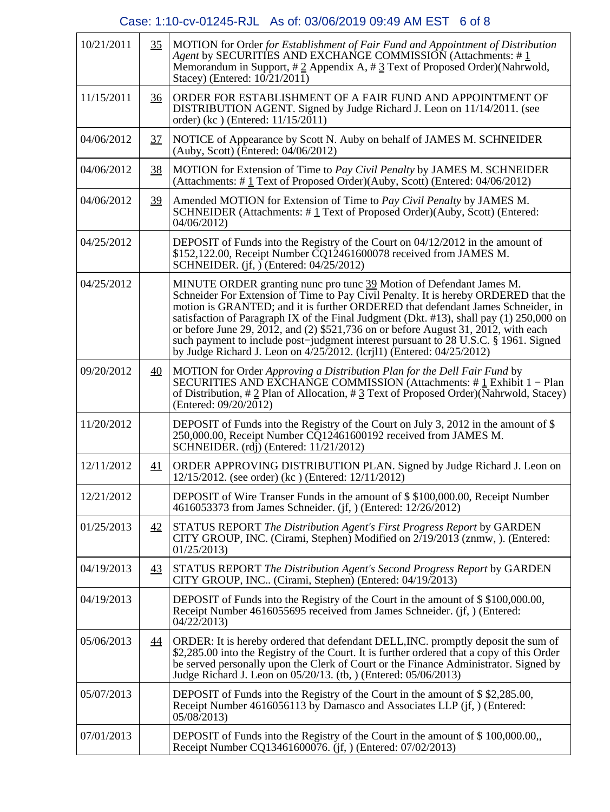# Case: 1:10-cv-01245-RJL As of: 03/06/2019 09:49 AM EST 6 of 8

| 10/21/2011 | 35              | MOTION for Order for Establishment of Fair Fund and Appointment of Distribution<br>Agent by SECURITIES AND EXCHANGE COMMISSION (Attachments: #1<br>Memorandum in Support, #2 Appendix A, #3 Text of Proposed Order)(Nahrwold,<br>Stacey) (Entered: $10/21/2011$ )                                                                                                                                                                                                                                                                                                                                                              |
|------------|-----------------|--------------------------------------------------------------------------------------------------------------------------------------------------------------------------------------------------------------------------------------------------------------------------------------------------------------------------------------------------------------------------------------------------------------------------------------------------------------------------------------------------------------------------------------------------------------------------------------------------------------------------------|
| 11/15/2011 | $\frac{36}{5}$  | ORDER FOR ESTABLISHMENT OF A FAIR FUND AND APPOINTMENT OF<br>DISTRIBUTION AGENT. Signed by Judge Richard J. Leon on 11/14/2011. (see<br>order) (kc) (Entered: 11/15/2011)                                                                                                                                                                                                                                                                                                                                                                                                                                                      |
| 04/06/2012 | 37              | NOTICE of Appearance by Scott N. Auby on behalf of JAMES M. SCHNEIDER<br>(Auby, Scott) (Entered: $04/06/2012$ )                                                                                                                                                                                                                                                                                                                                                                                                                                                                                                                |
| 04/06/2012 | 38              | MOTION for Extension of Time to Pay Civil Penalty by JAMES M. SCHNEIDER<br>(Attachments: #1 Text of Proposed Order)(Auby, Scott) (Entered: 04/06/2012)                                                                                                                                                                                                                                                                                                                                                                                                                                                                         |
| 04/06/2012 | 39              | Amended MOTION for Extension of Time to Pay Civil Penalty by JAMES M.<br>SCHNEIDER (Attachments: #1 Text of Proposed Order)(Auby, Scott) (Entered:<br>04/06/2012)                                                                                                                                                                                                                                                                                                                                                                                                                                                              |
| 04/25/2012 |                 | DEPOSIT of Funds into the Registry of the Court on 04/12/2012 in the amount of<br>\$152,122.00, Receipt Number CQ12461600078 received from JAMES M.<br>SCHNEIDER. (jf, $\overline{)}$ (Entered: 04/25/2012)                                                                                                                                                                                                                                                                                                                                                                                                                    |
| 04/25/2012 |                 | MINUTE ORDER granting nunc pro tunc 39 Motion of Defendant James M.<br>Schneider For Extension of Time to Pay Civil Penalty. It is hereby ORDERED that the<br>motion is GRANTED; and it is further ORDERED that defendant James Schneider, in<br>satisfaction of Paragraph IX of the Final Judgment (Dkt. $\#13$ ), shall pay (1) 250,000 on<br>or before June 29, $\overline{2012}$ , and (2) \$521,736 on or before August 31, $\overline{2012}$ , with each<br>such payment to include post-judgment interest pursuant to 28 U.S.C. § 1961. Signed<br>by Judge Richard J. Leon on 4/25/2012. (lcril1) (Entered: 04/25/2012) |
| 09/20/2012 | 40              | MOTION for Order Approving a Distribution Plan for the Dell Fair Fund by<br>SECURITIES AND EXCHANGE COMMISSION (Attachments: #1 Exhibit 1 – Plan<br>of Distribution, $\# 2$ Plan of Allocation, $\# 3$ Text of Proposed Order)(Nahrwold, Stacey)<br>(Entered: 09/20/2012)                                                                                                                                                                                                                                                                                                                                                      |
| 11/20/2012 |                 | DEPOSIT of Funds into the Registry of the Court on July 3, 2012 in the amount of $\$$<br>250,000.00, Receipt Number CQ12461600192 received from JAMES M.<br>SCHNEIDER. (rdj) (Entered: 11/21/2012)                                                                                                                                                                                                                                                                                                                                                                                                                             |
| 12/11/2012 | 41              | ORDER APPROVING DISTRIBUTION PLAN. Signed by Judge Richard J. Leon on<br>12/15/2012. (see order) (kc) (Entered: 12/11/2012)                                                                                                                                                                                                                                                                                                                                                                                                                                                                                                    |
| 12/21/2012 |                 | DEPOSIT of Wire Transer Funds in the amount of \$\$100,000.00, Receipt Number<br>4616053373 from James Schneider. (jf, ) (Entered: 12/26/2012)                                                                                                                                                                                                                                                                                                                                                                                                                                                                                 |
| 01/25/2013 | 42              | STATUS REPORT The Distribution Agent's First Progress Report by GARDEN<br>CITY GROUP, INC. (Cirami, Stephen) Modified on 2/19/2013 (znmw, ). (Entered:<br>01/25/2013                                                                                                                                                                                                                                                                                                                                                                                                                                                           |
| 04/19/2013 | $\overline{43}$ | STATUS REPORT The Distribution Agent's Second Progress Report by GARDEN<br>CITY GROUP, INC (Cirami, Stephen) (Entered: 04/19/2013)                                                                                                                                                                                                                                                                                                                                                                                                                                                                                             |
| 04/19/2013 |                 | DEPOSIT of Funds into the Registry of the Court in the amount of \$\$100,000.00,<br>Receipt Number 4616055695 received from James Schneider. (jf, ) (Entered:<br>04/22/2013                                                                                                                                                                                                                                                                                                                                                                                                                                                    |
| 05/06/2013 | 44              | ORDER: It is hereby ordered that defendant DELL, INC. promptly deposit the sum of<br>\$2,285.00 into the Registry of the Court. It is further ordered that a copy of this Order<br>be served personally upon the Clerk of Court or the Finance Administrator. Signed by<br>Judge Richard J. Leon on 05/20/13. (tb, ) (Entered: 05/06/2013)                                                                                                                                                                                                                                                                                     |
| 05/07/2013 |                 | DEPOSIT of Funds into the Registry of the Court in the amount of $$2,285.00$ ,<br>Receipt Number 4616056113 by Damasco and Associates LLP (jf, ) (Entered:<br>05/08/2013)                                                                                                                                                                                                                                                                                                                                                                                                                                                      |
| 07/01/2013 |                 | DEPOSIT of Funds into the Registry of the Court in the amount of \$100,000.00,<br>Receipt Number CQ13461600076. (jf, ) (Entered: 07/02/2013)                                                                                                                                                                                                                                                                                                                                                                                                                                                                                   |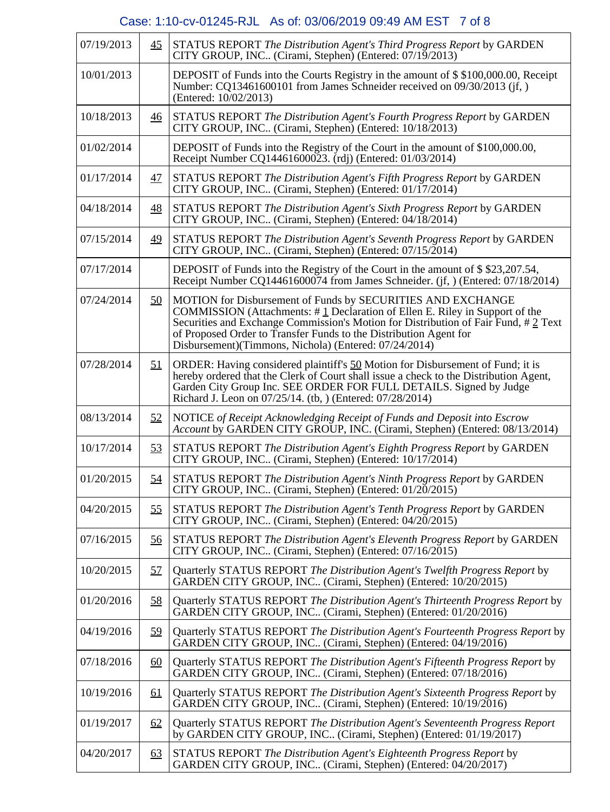# Case: 1:10-cv-01245-RJL As of: 03/06/2019 09:49 AM EST 7 of 8

| 07/19/2013 | 45        | STATUS REPORT The Distribution Agent's Third Progress Report by GARDEN<br>CITY GROUP, INC (Cirami, Stephen) (Entered: 07/19/2013)                                                                                                                                                                                                                                  |
|------------|-----------|--------------------------------------------------------------------------------------------------------------------------------------------------------------------------------------------------------------------------------------------------------------------------------------------------------------------------------------------------------------------|
| 10/01/2013 |           | DEPOSIT of Funds into the Courts Registry in the amount of \$\$100,000.00, Receipt<br>Number: CQ13461600101 from James Schneider received on 09/30/2013 (jf,)<br>(Entered: 10/02/2013)                                                                                                                                                                             |
| 10/18/2013 | <u>46</u> | STATUS REPORT The Distribution Agent's Fourth Progress Report by GARDEN<br>CITY GROUP, INC (Cirami, Stephen) (Entered: 10/18/2013)                                                                                                                                                                                                                                 |
| 01/02/2014 |           | DEPOSIT of Funds into the Registry of the Court in the amount of \$100,000.00,<br>Receipt Number CQ14461600023. (rdj) (Entered: 01/03/2014)                                                                                                                                                                                                                        |
| 01/17/2014 | 47        | STATUS REPORT The Distribution Agent's Fifth Progress Report by GARDEN<br>CITY GROUP, INC (Cirami, Stephen) (Entered: 01/17/2014)                                                                                                                                                                                                                                  |
| 04/18/2014 | <u>48</u> | STATUS REPORT The Distribution Agent's Sixth Progress Report by GARDEN<br>CITY GROUP, INC (Cirami, Stephen) (Entered: 04/18/2014)                                                                                                                                                                                                                                  |
| 07/15/2014 | 49        | STATUS REPORT The Distribution Agent's Seventh Progress Report by GARDEN<br>CITY GROUP, INC (Cirami, Stephen) (Entered: 07/15/2014)                                                                                                                                                                                                                                |
| 07/17/2014 |           | DEPOSIT of Funds into the Registry of the Court in the amount of \$\$23,207.54,<br>Receipt Number CQ14461600074 from James Schneider. (jf, ) (Entered: 07/18/2014)                                                                                                                                                                                                 |
| 07/24/2014 | <u>50</u> | MOTION for Disbursement of Funds by SECURITIES AND EXCHANGE<br>COMMISSION (Attachments: $\#$ 1 Declaration of Ellen E. Riley in Support of the<br>Securities and Exchange Commission's Motion for Distribution of Fair Fund, #2 Text<br>of Proposed Order to Transfer Funds to the Distribution Agent for<br>Disbursement)(Timmons, Nichola) (Entered: 07/24/2014) |
| 07/28/2014 | 51        | ORDER: Having considered plaintiff's 50 Motion for Disbursement of Fund; it is<br>hereby ordered that the Clerk of Court shall issue a check to the Distribution Agent,<br>Garden City Group Inc. SEE ORDER FOR FULL DETAILS. Signed by Judge<br>Richard J. Leon on 07/25/14. (tb, ) (Entered: 07/28/2014)                                                         |
| 08/13/2014 | 52        | NOTICE of Receipt Acknowledging Receipt of Funds and Deposit into Escrow<br>Account by GARDEN CITY GROUP, INC. (Cirami, Stephen) (Entered: 08/13/2014)                                                                                                                                                                                                             |
| 10/17/2014 | 53        | STATUS REPORT The Distribution Agent's Eighth Progress Report by GARDEN<br>CITY GROUP, INC (Cirami, Stephen) (Entered: 10/17/2014)                                                                                                                                                                                                                                 |
| 01/20/2015 | 54        | STATUS REPORT The Distribution Agent's Ninth Progress Report by GARDEN<br>CITY GROUP, INC (Cirami, Stephen) (Entered: 01/20/2015)                                                                                                                                                                                                                                  |
| 04/20/2015 | 55        | STATUS REPORT The Distribution Agent's Tenth Progress Report by GARDEN<br>CITY GROUP, INC (Cirami, Stephen) (Entered: 04/20/2015)                                                                                                                                                                                                                                  |
| 07/16/2015 | 56        | STATUS REPORT The Distribution Agent's Eleventh Progress Report by GARDEN<br>CITY GROUP, INC (Cirami, Stephen) (Entered: 07/16/2015)                                                                                                                                                                                                                               |
| 10/20/2015 | 57        | Quarterly STATUS REPORT The Distribution Agent's Twelfth Progress Report by<br>GARDEN CITY GROUP, INC (Cirami, Stephen) (Entered: 10/20/2015)                                                                                                                                                                                                                      |
| 01/20/2016 | 58        | Quarterly STATUS REPORT The Distribution Agent's Thirteenth Progress Report by<br>GARDEN CITY GROUP, INC (Cirami, Stephen) (Entered: 01/20/2016)                                                                                                                                                                                                                   |
| 04/19/2016 | 59        | Quarterly STATUS REPORT The Distribution Agent's Fourteenth Progress Report by<br>GARDEN CITY GROUP, INC (Cirami, Stephen) (Entered: 04/19/2016)                                                                                                                                                                                                                   |
| 07/18/2016 | <u>60</u> | Quarterly STATUS REPORT The Distribution Agent's Fifteenth Progress Report by<br>GARDEN CITY GROUP, INC (Cirami, Stephen) (Entered: 07/18/2016)                                                                                                                                                                                                                    |
| 10/19/2016 | <u>61</u> | Quarterly STATUS REPORT The Distribution Agent's Sixteenth Progress Report by<br>GARDEN CITY GROUP, INC (Cirami, Stephen) (Entered: 10/19/2016)                                                                                                                                                                                                                    |
| 01/19/2017 | <u>62</u> | Quarterly STATUS REPORT The Distribution Agent's Seventeenth Progress Report<br>by GARDEN CITY GROUP, INC (Cirami, Stephen) (Entered: 01/19/2017)                                                                                                                                                                                                                  |
| 04/20/2017 | 63        | STATUS REPORT The Distribution Agent's Eighteenth Progress Report by<br>GARDEN CITY GROUP, INC (Cirami, Stephen) (Entered: 04/20/2017)                                                                                                                                                                                                                             |